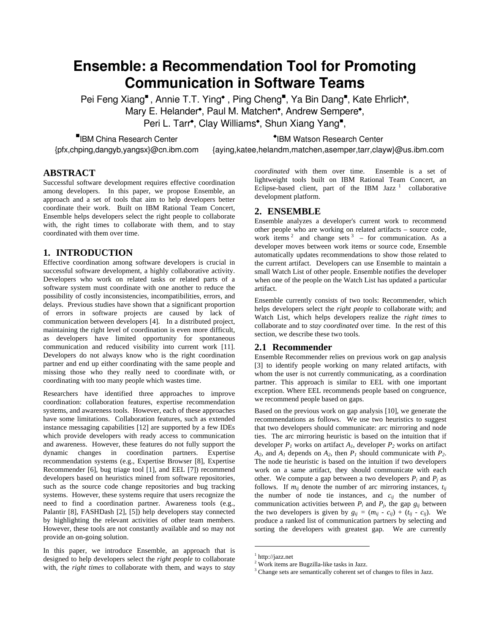# **Ensemble: a Recommendation Tool for Promoting Communication in Software Teams**

Pei Feng Xiang", Annie T.T. Ying<sup>\*</sup>, Ping Cheng", Ya Bin Dang", Kate Ehrlich<sup>\*</sup>, Mary E. Helander<sup>\*</sup>, Paul M. Matchen<sup>\*</sup>, Andrew Sempere<sup>\*</sup>, Peri L. Tarr<sup>\*</sup>, Clay Williams<sup>\*</sup>, Shun Xiang Yang<sup>"</sup>,

■IBM China Research Center {pfx,chping,dangyb,yangsx}@cn.ibm.com \*IBM Watson Research Center

{aying,katee,helandm,matchen,asemper,tarr,clayw}@us.ibm.com

## **ABSTRACT**

Successful software development requires effective coordination among developers. In this paper, we propose Ensemble, an approach and a set of tools that aim to help developers better coordinate their work. Built on IBM Rational Team Concert, Ensemble helps developers select the right people to collaborate with, the right times to collaborate with them, and to stay coordinated with them over time.

## **1. INTRODUCTION**

Effective coordination among software developers is crucial in successful software development, a highly collaborative activity. Developers who work on related tasks or related parts of a software system must coordinate with one another to reduce the possibility of costly inconsistencies, incompatibilities, errors, and delays. Previous studies have shown that a significant proportion of errors in software projects are caused by lack of communication between developers [\[4\].](#page-1-0) In a distributed project, maintaining the right level of coordination is even more difficult, as developers have limited opportunity for spontaneous communication and reduced visibility into current work [\[11\].](#page-1-1) Developers do not always know who is the right coordination partner and end up either coordinating with the same people and missing those who they really need to coordinate with, or coordinating with too many people which wastes time.

Researchers have identified three approaches to improve coordination: collaboration features, expertise recommendation systems, and awareness tools. However, each of these approaches have some limitations. Collaboration features, such as extended instance messaging capabilities [\[12\]](#page-1-2) are supported by a few IDEs which provide developers with ready access to communication and awareness. However, these features do not fully support the dynamic changes in coordination partners. Expertise recommendation systems (e.g., Expertise Browser [\[8\],](#page-1-3) Expertise Recommender [\[6\]](#page-1-4), bug triage tool [\[1\]](#page-1-5), and EEL [\[7\]](#page-1-6)) recommend developers based on heuristics mined from software repositories, such as the source code change repositories and bug tracking systems. However, these systems require that users recognize the need to find a coordination partner. Awareness tools (e.g., Palantir [\[8\],](#page-1-7) FASHDash [\[2\]](#page-1-8), [5]) help developers stay connected by highlighting the relevant activities of other team members. However, these tools are not constantly available and so may not provide an on-going solution.

<span id="page-0-2"></span><span id="page-0-1"></span><span id="page-0-0"></span>In this paper, we introduce Ensemble, an approach that is designed to help developers select the *right people* to collaborate with, the *right times* to collaborate with them, and ways to *stay* 

*coordinated* with them over time. Ensemble is a set of lightweight tools built on IBM Rational Team Concert, an Eclipse-based client, part of the IBM Jazz<sup>[1](#page-0-0)</sup> collaborative development platform.

### **2. ENSEMBLE**

Ensemble analyzes a developer's current work to recommend other people who are working on related artifacts – source code, work items<sup>[2](#page-0-1)</sup> and change sets<sup>[3](#page-0-2)</sup> – for communication. As a developer moves between work items or source code, Ensemble automatically updates recommendations to show those related to the current artifact. Developers can use Ensemble to maintain a small Watch List of other people. Ensemble notifies the developer when one of the people on the Watch List has updated a particular artifact.

Ensemble currently consists of two tools: Recommender, which helps developers select the *right people* to collaborate with; and Watch List, which helps developers realize the *right times* to collaborate and to *stay coordinated* over time. In the rest of this section, we describe these two tools.

#### **2.1 Recommender**

Ensemble Recommender relies on previous work on gap analysis [3] to identify people working on many related artifacts, with whom the user is not currently communicating, as a coordination partner. This approach is similar to EEL with one important exception. Where EEL recommends people based on congruence, we recommend people based on gaps.

Based on the previous work on gap analysis [10], we generate the recommendations as follows. We use two heuristics to suggest that two developers should communicate: arc mirroring and node ties. The arc mirroring heuristic is based on the intuition that if developer  $P_1$  works on artifact  $A_1$ , developer  $P_2$  works on artifact  $A_2$ , and  $A_1$  depends on  $A_2$ , then  $P_1$  should communicate with  $P_2$ . The node tie heuristic is based on the intuition if two developers work on a same artifact, they should communicate with each other. We compute a gap between a two developers  $P_i$  and  $P_j$  as follows. If  $m_{ij}$  denote the number of arc mirroring instances,  $t_{ij}$ the number of node tie instances, and  $c_{ij}$  the number of communication activities between  $P_i$  and  $P_j$ , the gap  $g_{ij}$  between the two developers is given by  $g_{ii} = (m_{ii} - c_{ii}) + (t_{ii} - c_{ii})$ . We produce a ranked list of communication partners by selecting and sorting the developers with greatest gap. We are currently

 $\overline{a}$ 

<sup>&</sup>lt;sup>1</sup> http://jazz.net

<sup>&</sup>lt;sup>2</sup> Work items are Bugzilla-like tasks in Jazz.

<sup>&</sup>lt;sup>3</sup> Change sets are semantically coherent set of changes to files in Jazz.